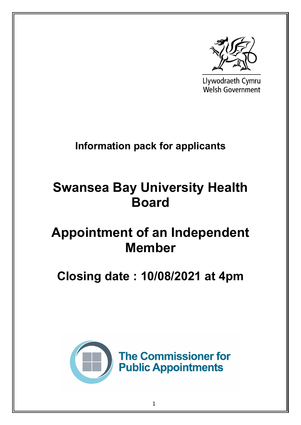

Llywodraeth Cymru **Welsh Government** 

## **Information pack for applicants**

# **Swansea Bay University Health Board**

## **Appointment of an Independent Member**

## **Closing date : 10/08/2021 at 4pm**

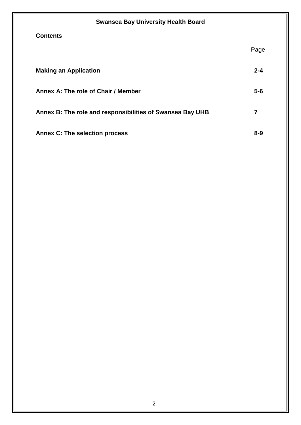| <b>Swansea Bay University Health Board</b>                |         |
|-----------------------------------------------------------|---------|
| <b>Contents</b>                                           |         |
|                                                           | Page    |
| <b>Making an Application</b>                              | $2 - 4$ |
| Annex A: The role of Chair / Member                       | $5-6$   |
| Annex B: The role and responsibilities of Swansea Bay UHB | 7       |
| <b>Annex C: The selection process</b>                     | $8 - 9$ |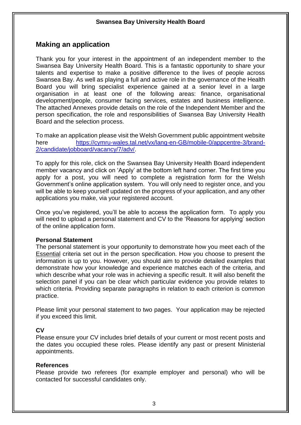## **Making an application**

Thank you for your interest in the appointment of an independent member to the Swansea Bay University Health Board. This is a fantastic opportunity to share your talents and expertise to make a positive difference to the lives of people across Swansea Bay. As well as playing a full and active role in the governance of the Health Board you will bring specialist experience gained at a senior level in a large organisation in at least one of the following areas: finance, organisational development/people, consumer facing services, estates and business intelligence. The attached Annexes provide details on the role of the Independent Member and the person specification, the role and responsibilities of Swansea Bay University Health Board and the selection process.

To make an application please visit the Welsh Government public appointment website here [https://cymru-wales.tal.net/vx/lang-en-GB/mobile-0/appcentre-3/brand-](https://cymru-wales.tal.net/vx/lang-en-GB/mobile-0/appcentre-3/brand-2/candidate/jobboard/vacancy/7/adv/)[2/candidate/jobboard/vacancy/7/adv/.](https://cymru-wales.tal.net/vx/lang-en-GB/mobile-0/appcentre-3/brand-2/candidate/jobboard/vacancy/7/adv/)

To apply for this role, click on the Swansea Bay University Health Board independent member vacancy and click on 'Apply' at the bottom left hand corner. The first time you apply for a post, you will need to complete a registration form for the Welsh Government's online application system. You will only need to register once, and you will be able to keep yourself updated on the progress of your application, and any other applications you make, via your registered account.

Once you've registered, you'll be able to access the application form. To apply you will need to upload a personal statement and CV to the 'Reasons for applying' section of the online application form.

## **Personal Statement**

The personal statement is your opportunity to demonstrate how you meet each of the Essential criteria set out in the person specification. How you choose to present the information is up to you. However, you should aim to provide detailed examples that demonstrate how your knowledge and experience matches each of the criteria, and which describe what your role was in achieving a specific result. It will also benefit the selection panel if you can be clear which particular evidence you provide relates to which criteria. Providing separate paragraphs in relation to each criterion is common practice.

Please limit your personal statement to two pages. Your application may be rejected if you exceed this limit.

## **CV**

Please ensure your CV includes brief details of your current or most recent posts and the dates you occupied these roles. Please identify any past or present Ministerial appointments.

## **References**

Please provide two referees (for example employer and personal) who will be contacted for successful candidates only.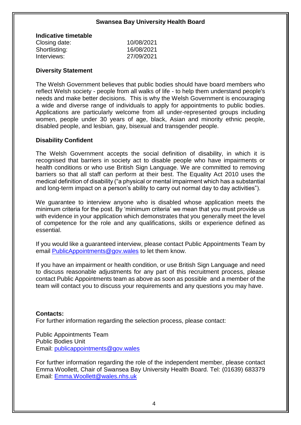| Indicative timetable |            |
|----------------------|------------|
| Closing date:        | 10/08/2021 |
| Shortlisting:        | 16/08/2021 |
| Interviews:          | 27/09/2021 |
|                      |            |

## **Diversity Statement**

The Welsh Government believes that public bodies should have board members who reflect Welsh society - people from all walks of life - to help them understand people's needs and make better decisions. This is why the Welsh Government is encouraging a wide and diverse range of individuals to apply for appointments to public bodies. Applications are particularly welcome from all under-represented groups including women, people under 30 years of age, black, Asian and minority ethnic people, disabled people, and lesbian, gay, bisexual and transgender people.

## **Disability Confident**

The Welsh Government accepts the social definition of disability, in which it is recognised that barriers in society act to disable people who have impairments or health conditions or who use British Sign Language. We are committed to removing barriers so that all staff can perform at their best. The Equality Act 2010 uses the medical definition of disability ("a physical or mental impairment which has a substantial and long-term impact on a person's ability to carry out normal day to day activities").

We guarantee to interview anyone who is disabled whose application meets the minimum criteria for the post. By 'minimum criteria' we mean that you must provide us with evidence in your application which demonstrates that you generally meet the level of competence for the role and any qualifications, skills or experience defined as essential.

If you would like a guaranteed interview, please contact Public Appointments Team by email [PublicAppointments@gov.wales](mailto:PublicAppointments@gov.wales) to let them know.

If you have an impairment or health condition, or use British Sign Language and need to discuss reasonable adjustments for any part of this recruitment process, please contact Public Appointments team as above as soon as possible and a member of the team will contact you to discuss your requirements and any questions you may have.

## **Contacts:**

For further information regarding the selection process, please contact:

Public Appointments Team Public Bodies Unit Email: [publicappointments@gov.wales](mailto:publicappointments@gov.wales)

For further information regarding the role of the independent member, please contact Emma Woollett, Chair of Swansea Bay University Health Board. Tel: (01639) 683379 Email: [Emma.Woollett@wales.nhs.uk](mailto:Emma.Woollett@wales.nhs.uk)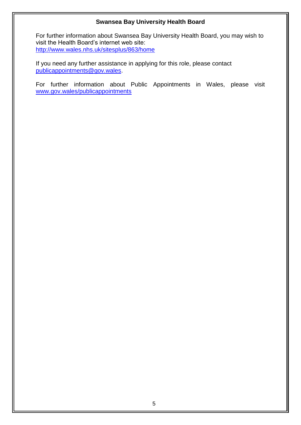For further information about Swansea Bay University Health Board, you may wish to visit the Health Board's internet web site: <http://www.wales.nhs.uk/sitesplus/863/home>

If you need any further assistance in applying for this role, please contact [publicappointments@gov.wales.](mailto:publicappointments@gov.wales)

For further information about Public Appointments in Wales, please visit [www.gov.wales/publicappointments](http://www.gov.wales/publicappointments)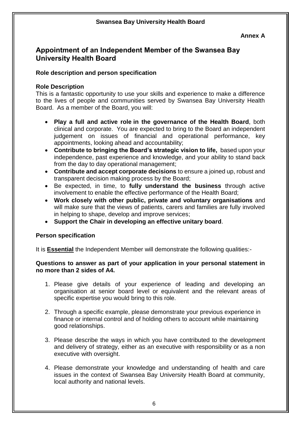#### **Annex A**

## **Appointment of an Independent Member of the Swansea Bay University Health Board**

## **Role description and person specification**

## **Role Description**

This is a fantastic opportunity to use your skills and experience to make a difference to the lives of people and communities served by Swansea Bay University Health Board. As a member of the Board, you will:

- **Play a full and active role in the governance of the Health Board**, both clinical and corporate. You are expected to bring to the Board an independent judgement on issues of financial and operational performance, key appointments, looking ahead and accountability;
- **Contribute to bringing the Board's strategic vision to life,** based upon your independence, past experience and knowledge, and your ability to stand back from the day to day operational management;
- **Contribute and accept corporate decisions** to ensure a joined up, robust and transparent decision making process by the Board;
- Be expected, in time, to **fully understand the business** through active involvement to enable the effective performance of the Health Board;
- **Work closely with other public, private and voluntary organisations** and will make sure that the views of patients, carers and families are fully involved in helping to shape, develop and improve services;
- **Support the Chair in developing an effective unitary board**.

## **Person specification**

It is **Essential** the Independent Member will demonstrate the following qualities:-

## **Questions to answer as part of your application in your personal statement in no more than 2 sides of A4.**

- 1. Please give details of your experience of leading and developing an organisation at senior board level or equivalent and the relevant areas of specific expertise you would bring to this role.
- 2. Through a specific example, please demonstrate your previous experience in finance or internal control and of holding others to account while maintaining good relationships.
- 3. Please describe the ways in which you have contributed to the development and delivery of strategy, either as an executive with responsibility or as a non executive with oversight.
- 4. Please demonstrate your knowledge and understanding of health and care issues in the context of Swansea Bay University Health Board at community, local authority and national levels.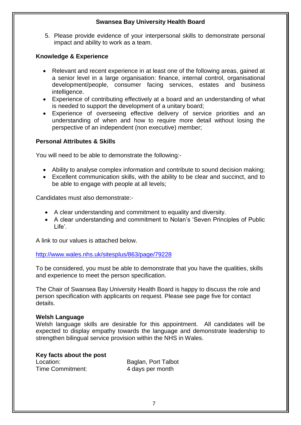5. Please provide evidence of your interpersonal skills to demonstrate personal impact and ability to work as a team.

## **Knowledge & Experience**

- Relevant and recent experience in at least one of the following areas, gained at a senior level in a large organisation: finance, internal control, organisational development/people, consumer facing services, estates and business intelligence.
- Experience of contributing effectively at a board and an understanding of what is needed to support the development of a unitary board;
- Experience of overseeing effective delivery of service priorities and an understanding of when and how to require more detail without losing the perspective of an independent (non executive) member;

## **Personal Attributes & Skills**

You will need to be able to demonstrate the following:-

- Ability to analyse complex information and contribute to sound decision making;
- Excellent communication skills, with the ability to be clear and succinct, and to be able to engage with people at all levels;

Candidates must also demonstrate:-

- A clear understanding and commitment to equality and diversity.
- A clear understanding and commitment to Nolan's 'Seven Principles of Public Life'.

A link to our values is attached below.

## <http://www.wales.nhs.uk/sitesplus/863/page/79228>

To be considered, you must be able to demonstrate that you have the qualities, skills and experience to meet the person specification.

The Chair of Swansea Bay University Health Board is happy to discuss the role and person specification with applicants on request. Please see page five for contact details.

#### **Welsh Language**

Welsh language skills are desirable for this appointment. All candidates will be expected to display empathy towards the language and demonstrate leadership to strengthen bilingual service provision within the NHS in Wales.

## **Key facts about the post**

Time Commitment: 4 days per month

Location: Baglan, Port Talbot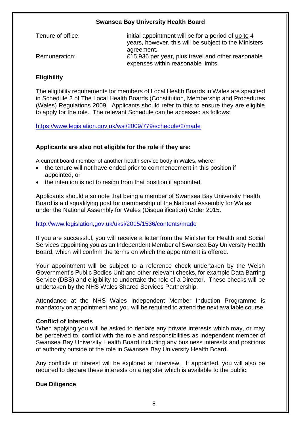| Tenure of office: | initial appointment will be for a period of up to 4<br>years, however, this will be subject to the Ministers |
|-------------------|--------------------------------------------------------------------------------------------------------------|
|                   | agreement.                                                                                                   |
| Remuneration:     | £15,936 per year, plus travel and other reasonable                                                           |
|                   | expenses within reasonable limits.                                                                           |

## **Eligibility**

The eligibility requirements for members of Local Health Boards in Wales are specified in Schedule 2 of The Local Health Boards (Constitution, Membership and Procedures (Wales) Regulations 2009. Applicants should refer to this to ensure they are eligible to apply for the role. The relevant Schedule can be accessed as follows:

<https://www.legislation.gov.uk/wsi/2009/779/schedule/2/made>

## **Applicants are also not eligible for the role if they are:**

A current board member of another health service body in Wales, where:

- the tenure will not have ended prior to commencement in this position if appointed, or
- the intention is not to resign from that position if appointed.

Applicants should also note that being a member of Swansea Bay University Health Board is a disqualifying post for membership of the National Assembly for Wales under the National Assembly for Wales (Disqualification) Order 2015.

## <http://www.legislation.gov.uk/uksi/2015/1536/contents/made>

If you are successful, you will receive a letter from the Minister for Health and Social Services appointing you as an Independent Member of Swansea Bay University Health Board, which will confirm the terms on which the appointment is offered.

Your appointment will be subject to a reference check undertaken by the Welsh Government's Public Bodies Unit and other relevant checks, for example Data Barring Service (DBS) and eligibility to undertake the role of a Director. These checks will be undertaken by the NHS Wales Shared Services Partnership.

Attendance at the NHS Wales Independent Member Induction Programme is mandatory on appointment and you will be required to attend the next available course.

## **Conflict of Interests**

When applying you will be asked to declare any private interests which may, or may be perceived to, conflict with the role and responsibilities as independent member of Swansea Bay University Health Board including any business interests and positions of authority outside of the role in Swansea Bay University Health Board.

Any conflicts of interest will be explored at interview. If appointed, you will also be required to declare these interests on a register which is available to the public.

**Due Diligence**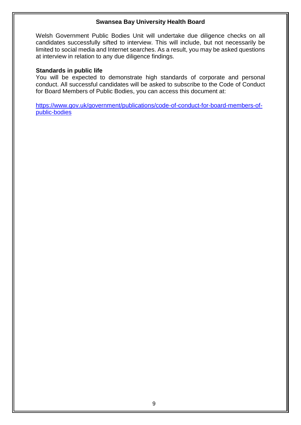Welsh Government Public Bodies Unit will undertake due diligence checks on all candidates successfully sifted to interview. This will include, but not necessarily be limited to social media and Internet searches. As a result, you may be asked questions at interview in relation to any due diligence findings.

## **Standards in public life**

You will be expected to demonstrate high standards of corporate and personal conduct. All successful candidates will be asked to subscribe to the Code of Conduct for Board Members of Public Bodies, you can access this document at:

[https://www.gov.uk/government/publications/code-of-conduct-for-board-members-of](https://www.gov.uk/government/publications/code-of-conduct-for-board-members-of-public-bodies)[public-bodies](https://www.gov.uk/government/publications/code-of-conduct-for-board-members-of-public-bodies)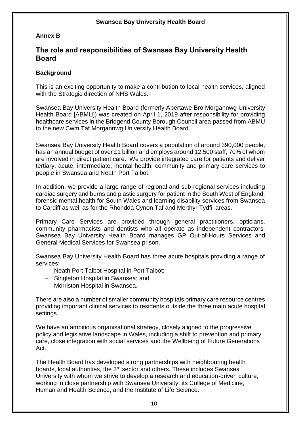## **Annex B**

## **The role and responsibilities of Swansea Bay University Health Board**

## **Background**

This is an exciting opportunity to make a contribution to local health services, aligned with the Strategic direction of NHS Wales.

Swansea Bay University Health Board (formerly Abertawe Bro Morgannwg University Health Board [ABMU]) was created on April 1, 2019 after responsibility for providing healthcare services in the Bridgend County Borough Council area passed from ABMU to the new Cwm Taf Morgannwg University Health Board.

Swansea Bay University Health Board covers a population of around 390,000 people, has an annual budget of over £1 billion and employs around 12,500 staff, 70% of whom are involved in direct patient care. We provide integrated care for patients and deliver tertiary, acute, intermediate, mental health, community and primary care services to people in Swansea and Neath Port Talbot.

In addition, we provide a large range of regional and sub-regional services including cardiac surgery and burns and plastic surgery for patient in the South West of England, forensic mental health for South Wales and learning disability services from Swansea to Cardiff as well as for the Rhondda Cynon Taf and Merthyr Tydfil areas.

Primary Care Services are provided through general practitioners, opticians, community pharmacists and dentists who all operate as independent contractors. Swansea Bay University Health Board manages GP Out-of-Hours Services and General Medical Services for Swansea prison.

Swansea Bay University Health Board has three acute hospitals providing a range of services:

- Neath Port Talbot Hospital in Port Talbot;
- Singleton Hospital in Swansea; and
- Morriston Hospital in Swansea.

There are also a number of smaller community hospitals primary care resource centres providing important clinical services to residents outside the three main acute hospital settings.

We have an ambitious organisational strategy, closely aligned to the progressive policy and legislative landscape in Wales, including a shift to prevention and primary care, close integration with social services and the Wellbeing of Future Generations Act.

The Health Board has developed strong partnerships with neighbouring health boards, local authorities, the 3<sup>rd</sup> sector and others. These includes Swansea University with whom we strive to develop a research and education-driven culture, working in close partnership with Swansea University, its College of Medicine, Human and Health Science, and the Institute of Life Science.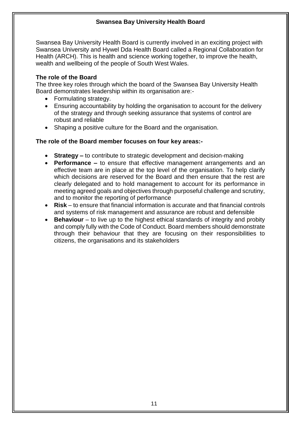Swansea Bay University Health Board is currently involved in an exciting project with Swansea University and Hywel Dda Health Board called a Regional Collaboration for Health (ARCH). This is health and science working together, to improve the health, wealth and wellbeing of the people of South West Wales.

## **The role of the Board**

The three key roles through which the board of the Swansea Bay University Health Board demonstrates leadership within its organisation are:-

- Formulating strategy.
- Ensuring accountability by holding the organisation to account for the delivery of the strategy and through seeking assurance that systems of control are robust and reliable
- Shaping a positive culture for the Board and the organisation.

## **The role of the Board member focuses on four key areas:-**

- **Strategy –** to contribute to strategic development and decision-making
- **Performance –** to ensure that effective management arrangements and an effective team are in place at the top level of the organisation. To help clarify which decisions are reserved for the Board and then ensure that the rest are clearly delegated and to hold management to account for its performance in meeting agreed goals and objectives through purposeful challenge and scrutiny, and to monitor the reporting of performance
- **Risk** to ensure that financial information is accurate and that financial controls and systems of risk management and assurance are robust and defensible
- **Behaviour** to live up to the highest ethical standards of integrity and probity and comply fully with the Code of Conduct. Board members should demonstrate through their behaviour that they are focusing on their responsibilities to citizens, the organisations and its stakeholders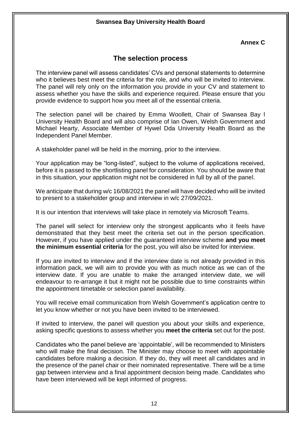## **Annex C**

## **The selection process**

The interview panel will assess candidates' CVs and personal statements to determine who it believes best meet the criteria for the role, and who will be invited to interview. The panel will rely only on the information you provide in your CV and statement to assess whether you have the skills and experience required. Please ensure that you provide evidence to support how you meet all of the essential criteria.

The selection panel will be chaired by Emma Woollett, Chair of Swansea Bay l University Health Board and will also comprise of Ian Owen, Welsh Government and Michael Hearty, Associate Member of Hywel Dda University Health Board as the Independent Panel Member.

A stakeholder panel will be held in the morning, prior to the interview.

Your application may be "long-listed", subject to the volume of applications received, before it is passed to the shortlisting panel for consideration. You should be aware that in this situation, your application might not be considered in full by all of the panel.

We anticipate that during w/c 16/08/2021 the panel will have decided who will be invited to present to a stakeholder group and interview in w/c 27/09/2021.

It is our intention that interviews will take place in remotely via Microsoft Teams.

The panel will select for interview only the strongest applicants who it feels have demonstrated that they best meet the criteria set out in the person specification. However, if you have applied under the guaranteed interview scheme **and you meet the minimum essential criteria** for the post, you will also be invited for interview.

If you are invited to interview and if the interview date is not already provided in this information pack, we will aim to provide you with as much notice as we can of the interview date. If you are unable to make the arranged interview date, we will endeavour to re-arrange it but it might not be possible due to time constraints within the appointment timetable or selection panel availability.

You will receive email communication from Welsh Government's application centre to let you know whether or not you have been invited to be interviewed.

If invited to interview, the panel will question you about your skills and experience, asking specific questions to assess whether you **meet the criteria** set out for the post.

Candidates who the panel believe are 'appointable', will be recommended to Ministers who will make the final decision. The Minister may choose to meet with appointable candidates before making a decision. If they do, they will meet all candidates and in the presence of the panel chair or their nominated representative. There will be a time gap between interview and a final appointment decision being made. Candidates who have been interviewed will be kept informed of progress.